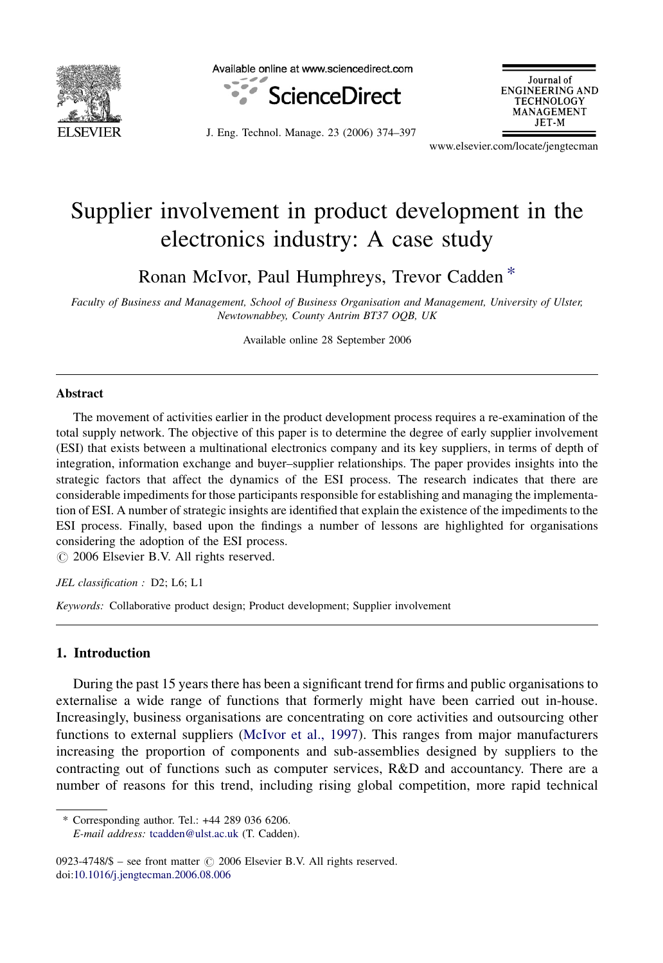

Available online at www.sciencedirect.com



Journal of **ENGINEERING AND TECHNOLOGY MANAGEMENT** JET-M

J. Eng. Technol. Manage. 23 (2006) 374–397

www.elsevier.com/locate/jengtecman

## Supplier involvement in product development in the electronics industry: A case study

Ronan McIvor, Paul Humphreys, Trevor Cadden \*

Faculty of Business and Management, School of Business Organisation and Management, University of Ulster, Newtownabbey, County Antrim BT37 OQB, UK

Available online 28 September 2006

#### Abstract

The movement of activities earlier in the product development process requires a re-examination of the total supply network. The objective of this paper is to determine the degree of early supplier involvement (ESI) that exists between a multinational electronics company and its key suppliers, in terms of depth of integration, information exchange and buyer–supplier relationships. The paper provides insights into the strategic factors that affect the dynamics of the ESI process. The research indicates that there are considerable impediments for those participants responsible for establishing and managing the implementation of ESI. A number of strategic insights are identified that explain the existence of the impediments to the ESI process. Finally, based upon the findings a number of lessons are highlighted for organisations considering the adoption of the ESI process.

 $\odot$  2006 Elsevier B.V. All rights reserved.

JEL classification : D2; L6; L1

Keywords: Collaborative product design; Product development; Supplier involvement

### 1. Introduction

During the past 15 years there has been a significant trend for firms and public organisations to externalise a wide range of functions that formerly might have been carried out in-house. Increasingly, business organisations are concentrating on core activities and outsourcing other functions to external suppliers ([McIvor et al., 1997\)](#page--1-0). This ranges from major manufacturers increasing the proportion of components and sub-assemblies designed by suppliers to the contracting out of functions such as computer services, R&D and accountancy. There are a number of reasons for this trend, including rising global competition, more rapid technical

<sup>\*</sup> Corresponding author. Tel.: +44 289 036 6206. E-mail address: [tcadden@ulst.ac.uk](mailto:tcadden@ulst.ac.uk) (T. Cadden).

<sup>0923-4748/\$ –</sup> see front matter  $\odot$  2006 Elsevier B.V. All rights reserved. doi[:10.1016/j.jengtecman.2006.08.006](http://dx.doi.org/10.1016/j.jengtecman.2006.08.006)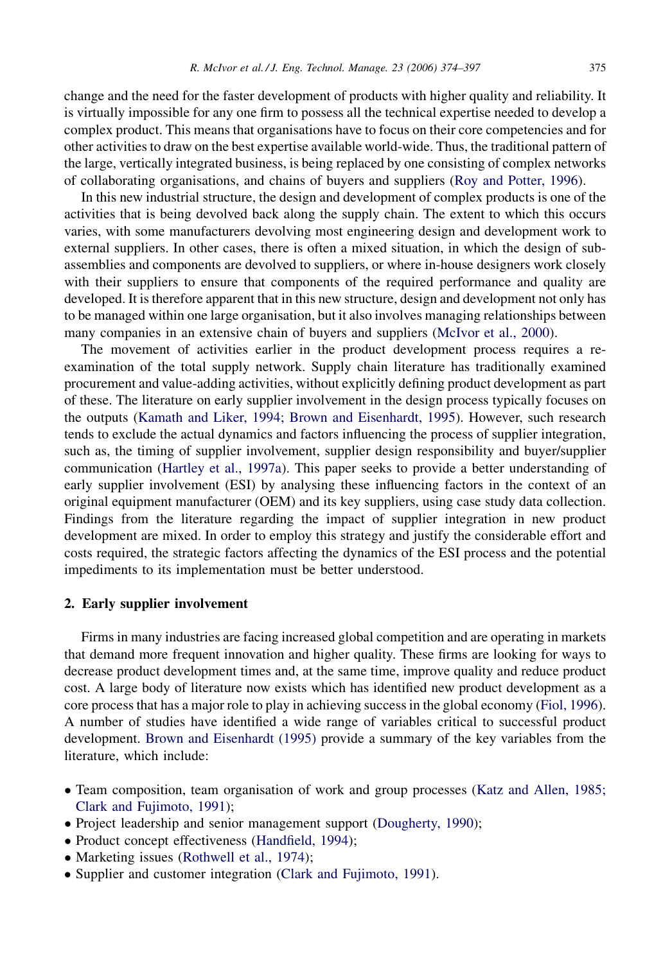change and the need for the faster development of products with higher quality and reliability. It is virtually impossible for any one firm to possess all the technical expertise needed to develop a complex product. This means that organisations have to focus on their core competencies and for other activities to draw on the best expertise available world-wide. Thus, the traditional pattern of the large, vertically integrated business, is being replaced by one consisting of complex networks of collaborating organisations, and chains of buyers and suppliers ([Roy and Potter, 1996](#page--1-0)).

In this new industrial structure, the design and development of complex products is one of the activities that is being devolved back along the supply chain. The extent to which this occurs varies, with some manufacturers devolving most engineering design and development work to external suppliers. In other cases, there is often a mixed situation, in which the design of subassemblies and components are devolved to suppliers, or where in-house designers work closely with their suppliers to ensure that components of the required performance and quality are developed. It is therefore apparent that in this new structure, design and development not only has to be managed within one large organisation, but it also involves managing relationships between many companies in an extensive chain of buyers and suppliers ([McIvor et al., 2000](#page--1-0)).

The movement of activities earlier in the product development process requires a reexamination of the total supply network. Supply chain literature has traditionally examined procurement and value-adding activities, without explicitly defining product development as part of these. The literature on early supplier involvement in the design process typically focuses on the outputs [\(Kamath and Liker, 1994; Brown and Eisenhardt, 1995\)](#page--1-0). However, such research tends to exclude the actual dynamics and factors influencing the process of supplier integration, such as, the timing of supplier involvement, supplier design responsibility and buyer/supplier communication ([Hartley et al., 1997a\)](#page--1-0). This paper seeks to provide a better understanding of early supplier involvement (ESI) by analysing these influencing factors in the context of an original equipment manufacturer (OEM) and its key suppliers, using case study data collection. Findings from the literature regarding the impact of supplier integration in new product development are mixed. In order to employ this strategy and justify the considerable effort and costs required, the strategic factors affecting the dynamics of the ESI process and the potential impediments to its implementation must be better understood.

### 2. Early supplier involvement

Firms in many industries are facing increased global competition and are operating in markets that demand more frequent innovation and higher quality. These firms are looking for ways to decrease product development times and, at the same time, improve quality and reduce product cost. A large body of literature now exists which has identified new product development as a core process that has a major role to play in achieving success in the global economy ([Fiol, 1996](#page--1-0)). A number of studies have identified a wide range of variables critical to successful product development. [Brown and Eisenhardt \(1995\)](#page--1-0) provide a summary of the key variables from the literature, which include:

- Team composition, team organisation of work and group processes [\(Katz and Allen, 1985;](#page--1-0) [Clark and Fujimoto, 1991](#page--1-0));
- Project leadership and senior management support [\(Dougherty, 1990](#page--1-0));
- Product concept effectiveness ([Handfield, 1994](#page--1-0));
- Marketing issues [\(Rothwell et al., 1974](#page--1-0));
- Supplier and customer integration ([Clark and Fujimoto, 1991](#page--1-0)).